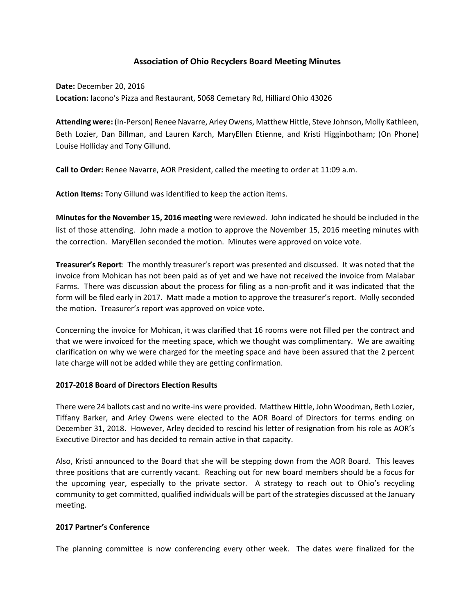# **Association of Ohio Recyclers Board Meeting Minutes**

**Date:** December 20, 2016 **Location:** Iacono's Pizza and Restaurant, 5068 Cemetary Rd, Hilliard Ohio 43026

**Attending were:** (In-Person) Renee Navarre, Arley Owens, Matthew Hittle, Steve Johnson, Molly Kathleen, Beth Lozier, Dan Billman, and Lauren Karch, MaryEllen Etienne, and Kristi Higginbotham; (On Phone) Louise Holliday and Tony Gillund.

**Call to Order:** Renee Navarre, AOR President, called the meeting to order at 11:09 a.m.

**Action Items:** Tony Gillund was identified to keep the action items.

**Minutes for the November 15, 2016 meeting** were reviewed. John indicated he should be included in the list of those attending. John made a motion to approve the November 15, 2016 meeting minutes with the correction. MaryEllen seconded the motion. Minutes were approved on voice vote.

**Treasurer's Report**: The monthly treasurer's report was presented and discussed. It was noted that the invoice from Mohican has not been paid as of yet and we have not received the invoice from Malabar Farms. There was discussion about the process for filing as a non-profit and it was indicated that the form will be filed early in 2017. Matt made a motion to approve the treasurer's report. Molly seconded the motion. Treasurer's report was approved on voice vote.

Concerning the invoice for Mohican, it was clarified that 16 rooms were not filled per the contract and that we were invoiced for the meeting space, which we thought was complimentary. We are awaiting clarification on why we were charged for the meeting space and have been assured that the 2 percent late charge will not be added while they are getting confirmation.

### **2017-2018 Board of Directors Election Results**

There were 24 ballots cast and no write-ins were provided. Matthew Hittle, John Woodman, Beth Lozier, Tiffany Barker, and Arley Owens were elected to the AOR Board of Directors for terms ending on December 31, 2018. However, Arley decided to rescind his letter of resignation from his role as AOR's Executive Director and has decided to remain active in that capacity.

Also, Kristi announced to the Board that she will be stepping down from the AOR Board. This leaves three positions that are currently vacant. Reaching out for new board members should be a focus for the upcoming year, especially to the private sector. A strategy to reach out to Ohio's recycling community to get committed, qualified individuals will be part of the strategies discussed at the January meeting.

#### **2017 Partner's Conference**

The planning committee is now conferencing every other week. The dates were finalized for the